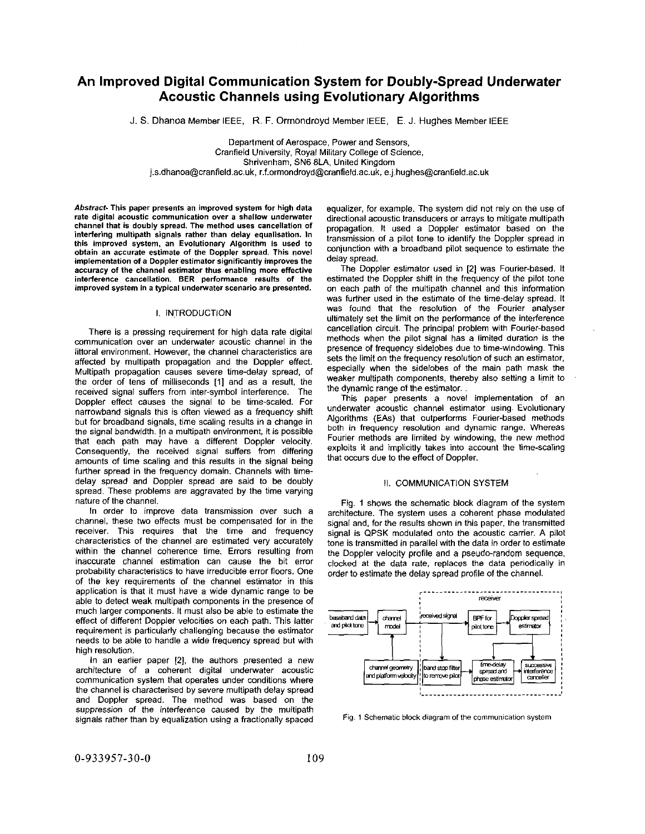# **An improved Digital Communication System for Doubly-Spread Underwater Acoustic Channels using Evolutionary Algorithms**

J. *S.* Dhanoa Member IEEE, R. F. Ormondroyd Member IEEE, **E.** J. Hughes Member IEEE

Department of Aerospace, Power and Sensors, Cranfield University, Royal Military College of Science, Shrivenham, SN6 8LA, United Kingdom **[j.s.dhanoa@cranfield.ac.uk](mailto:j.s.dhanoa@cranfield.ac.uk), [r.f.ormondroyd@cranfield.ac.uk](mailto:r.f.ormondroyd@cranfield.ac.uk),** [e.j.hughes@cranfield.ac.uk](mailto:e.j.hughes@cranfield.ac.uk) 

Abstract- This paper presents an improved system for high data rate digital acoustic communication over a shallow underwater channel that is doubly spread. The method uses cancellation of interfering multipath signals rather than delay equalisation. In this improved system, an Evolutionary Algorithm is used to obtain an accurate estimate of the Doppler spread. This novel implementation of a Doppler estimator significantly improves the accuracy of the channel estimator thus enabling more effective interference cancellation. BER performance results of the improved system in a typical underwater scenario are presented.

#### I. INTRODUCTION

There is a pressing requirement for high data rate digital communication over an underwater acoustic channel in the littoral environment. However, the channel characteristics are affected by multipath propagation and the Doppler effect. Multipath propagation causes severe time-delay spread, of the order of tens of milliseconds [I] and as a result, the received signal suffers from inter-symbol interference. The Doppler effect causes the signal to be time-scaled. For narrowband signals this is often viewed as a frequency shift but for broadband signals, time scaling results in a change in the signal bandwidth. In a multipath environment, it is possible that each path may have a different Doppler velocity. Consequently, the received signal suffers from differing amounts of time scaling and this results in the signal being further spread in the frequency domain. Channels with timedelay spread and Doppler spread are said to be doubly spread. These problems are aggravated by the time varying nature of the channel.

In order to improve data transmission over such a channel, these two effects must be compensated for in the receiver. This requires that the time and frequency characteristics of the channel are estimated very accurately within the channel coherence time. Errors resulting from inaccurate channel estimation can cause the bit error probability characteristics to have irreducible error floors. One of the key requirements of the channel estimator in this application is that it must have a wide dynamic range to be able to detect weak multipath components in the presence of much larger components. It must also be able to estimate the effect of different Doppler velocities on each path. This latter requirement is particularly challenging because the estimator needs to be able to handle a wide frequency spread but with high resolution.

In an earlier paper **[2],** the authors presented a new architecture of a coherent digital underwater acoustic communication system that operates under conditions where the channel is characterised by severe multipath delay spread and Doppler spread. The method was based on the suppression of the interference caused by the multipath signals rather than by equalization using a fractionally spaced

equalizer, for example. The system did not rely on the use of directional acoustic transducers or arrays to mitigate multipath propagation. It used a Doppler estimator based on the transmission of a pilot tone to identify the Doppler spread in conjunction with a broadband pilot sequence to estimate the delay spread.

The Doppler estimator used in *[2]* was Fourier-based. It estimated the Doppler shift in the frequency of the pilot tone on each path of the multipath channel and this information was further used in the estimate of the time-delay spread. It was found that the resolution of the Fourier analyser ultimately set the limit on the performance of the interference cancellation circuit. The principal problem with Fourier-based methods when the pilot signal has a limited duration is the presence of frequency sidelobes due to time-windowing. This sets the limit on the frequency resolution of such an estimator, especially when the sidelobes of the main path mask the weaker multipath components, thereby also setting a limit to the dynamic range of the estimator.

This paper presents a novel implementation of an underwater acoustic channel estimator using. Evolutionary Algorithms (EAs) that outperforms Fourier-based methods both in frequency resolution and dynamic range. Whereas Fourier methods are limited by windowing, the new method exploits it and implicitly takes into account the time-scaling that occurs due to the effect of Doppler.

#### II. COMMUNICATION SYSTEM

Fig. **1** shows the schematic block diagram of the system architecture. The system uses a coherent phase modulated signal and, for the results shown in this paper, the transmitted signal is QPSK modulated onto the acoustic carrier. A pilot tone is transmitted in parallel with the data in order to estimate the Doppler velocity profile and a pseudo-random sequence, clocked at the data rate, replaces the data periodically in order to estimate the delay spread profile of the channel.



Fig. I Schematic block **diagram** of the communication **system**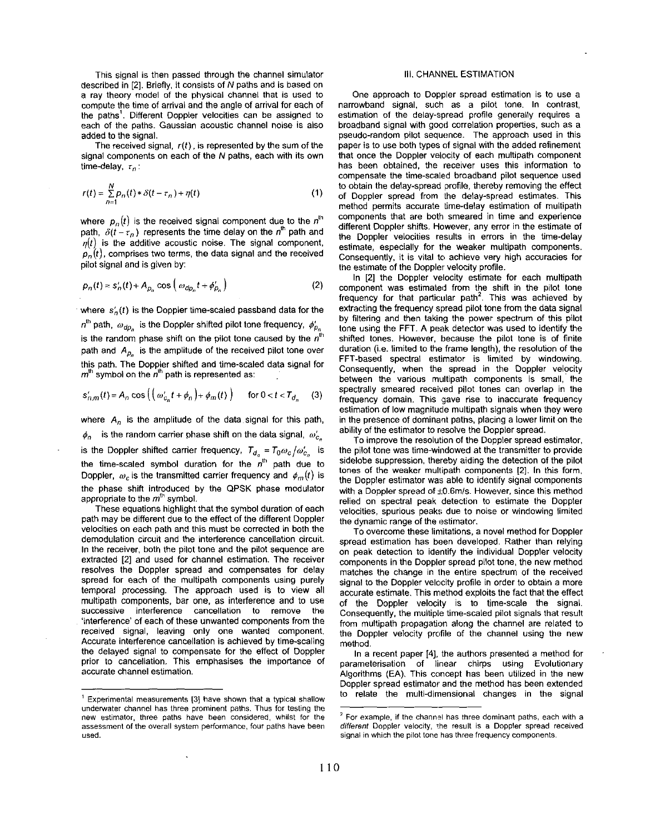This signal is then passed through the channel simulator described in *[Z].* Briefly, it consists of *N* paths and is based on a ray theory model of the physical channel that is used to compute the time of arrival and the angle of arrival for each of the paths'. Different Doppler velocities can be assigned to each **of** the paths. Gaussian acoustic channel noise is also added to the signal.

The received signal, *r(t),* is represented by the sum of the signal components on each of the *N* paths, each with its own time-delay, *rn* :

$$
r(t) = \sum_{n=1}^{N} p_n(t) * \delta(t - \tau_n) + \eta(t)
$$
 (1)

where  $p_n(t)$  is the received signal component due to the  $n^{\text{th}}$ path,  $\delta(t-\tau_n)$  represents the time delay on the n<sup>th</sup> path and  $q(t)$  is the additive acoustic noise. The signal component,  $p_n(t)$ , comprises two terms, the data signal and the received pilot signal and is given by:

$$
p_n(t) = s'_n(t) + A_{\rho_n} \cos\left(\omega_{dp_n} t + \phi'_{\rho_n}\right)
$$
 (2)

where  $s'_{n}(t)$  is the Doppler time-scaled passband data for the  $n^{\text{th}}$  path,  $\omega_{do}$  is the Doppler shifted pilot tone frequency,  $\phi'_{p_n}$ is the random phase shift on the pilot tone caused by the  $n<sup>th</sup>$ path and  $A_{p_n}$  is the amplitude of the received pilot tone over this path. The Doppler shifted and time-scaled data signal for  $m<sup>th</sup>$  symbol on the  $n<sup>th</sup>$  path is represented as:

$$
s'_{n,m}(t) = A_n \cos\left(\left(\omega'_{c_n}t + \phi_n\right) + \phi_m(t)\right) \quad \text{for } 0 < t < T_{d_n} \tag{3}
$$

where *A,* is the amplitude of the data signal for this path,  $\phi_n$  is the random carrier phase shift on the data signal,  $\omega'_{c_n}$ is the Doppler shifted carrier frequency,  $T_{d_n} = T_0 \omega_c / \omega'_{c_n}$  is the time-scaled symbol duration for the  $n^{\text{th}}$  path due to Doppler,  $\omega_c$  is the transmitted carrier frequency and  $\phi_m(t)$  is the phase shift introduced by the QPSK phase modulator appropriate to the  $m<sup>th</sup>$  symbol.

These equations highlight that the symbol duration of each path may be different due **to** the effect of the different Doppler velocities on each path and this must be corrected in both the demodulation circuit and the interference cancellation circuit. In the receiver, both the pilot tone and the pilot sequence are extracted *[Z]* and used for channel estimation. The receiver resolves the Doppler spread and compensates for delay spread for each of the multipath components using purely temporal processing. The approach used is **to** view all multipath components, bar one, as interference and to use successive interference cancellation to remove the 'interference' of each of these unwanted components from the received signal, leaving only one wanted component. Accurate interference cancellation is achieved by time-scaling the delayed signal to compensate for the effect of Doppler prior to cancellation. This emphasises the importance of accurate channel estimation.

#### 111. CHANNEL ESTIMATION

One approach to Doppler spread estimation is **to** use a narrowband signal, such as a pilot tone. In contrast, estimation of the delay-spread profile generally requires a broadband signal with good correlation properties, such as a pseudo-random pilot sequence. The approach used in this paper is to use both types of signal with the added refinement that once the Doppler velocity of each multipath component has been obtained, the receiver uses this information to compensate the time-scaled broadband pilot sequence used to obtain the delay-spread profile, thereby removing the effect of Doppler spread from the delay-spread estimates. This method permits accurate time-delay estimation of multipath components that are both smeared in time and experience different Doppler shifts. However, any error in the estimate of the Doppler velocities results in errors in the time-delay estimate, especially for the weaker multipath components. Consequently, it is vital to achieve very high accuracies for the estimate of the Doppler velocity profile.

In *[Z]* the Doppler velocity estimate for each multipath component was estimated from the shift in the pilot tone frequency for that particular path'. This was achieved by extracting the frequency spread pilot tone from the data signal by filtering and then taking the power spectrum of this pilot tone using the FFT. A peak detector was used to identify the shifted tones. However, because the pilot tone is of finite duration (i.e. limited to the frame length), the resolution of the FFT-based spectral estimator **is** limited by windowing. Consequently, when the spread in the Doppler velocity between the various multipath components is small, the spectrally smeared received pilot tones can overlap in the frequency domain. This gave rise to inaccurate frequency estimation of low magnitude multipath signals when they were in the presence **of** dominant paths, placing a lower limit on the ability of the estimator to resolve the Doppler spread.

To improve the resolution **of** the Doppler spread estimator, the pilot tone was time-windowed at the transmitter to provide sidelobe suppression, thereby aiding the detection of the pilot tones of the weaker multipath components *[Z].* In this form, the Doppler estimator was able to identify signal components with a Doppler spread of  $\pm 0.6$ m/s. However, since this method relied on spectral peak detection to estimate the Doppler velocities, spurious peaks due to noise or windowing limited the dynamic range of the estimator.

To overcome these limitations, a novel method for Doppler spread estimation has been developed. Rather than relying on peak detection to identify the individual Doppler velocity components in the Doppler spread pilot tone, the new method matches the change in the entire spectrum of the received signal to the Doppler velocity profile in order to obtain a more accurate estimate. This method exploits the fact that the effect of the Doppler velocity is to time-scale the signal. Consequently, the multiple time-scaled pilot signals that result from multipath propagation along the channel are related to the Doppler velocity profile of the channel using the new method.

In a recent paper **141,** the authors presented a method for parameterisation of linear chirps using Evolutionary Algorithms (EA). This concept has been utilized in the new Doppler spread estimator and the method has been extended to relate the multi-dimensional changes in the signal

<sup>&#</sup>x27; Experimental measurements **131** have shown that a typical shallow underwater channel has three prominent paths. Thus for testing the new estimator, three paths have been considered, whilst for the assessment of the overall system performance, four paths have been used.

 $2$  For example, if the channel has three dominant paths, each with a different Doppler velocity, the result is a Doppler spread received signal in which the pilot tone has three frequency components.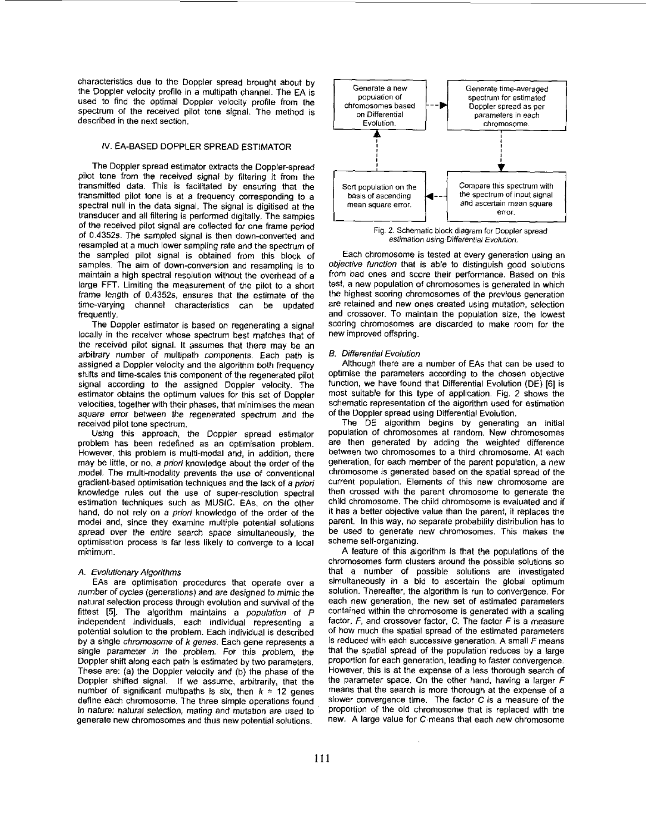characteristics due to the Doppler spread brought about by the Doppler velocity profile in a multipath channel. The EA is used to find the optimal Doppler velocity profile from the spectrum of the received pilot tone signal. The method is described in the next section.

## IV. EA-BASED DOPPLER SPREAD ESTIMATOR

The Doppler spread estimator extracts the Doppler-spread pilot tone from the received signal by filtering it from the transmitted data. This is facilitated by ensuring that the transmitted pilot tone is at a frequency corresponding to a spectral null in the data signal. The signal is digitised at the transducer and all filtering is performed digitally. The samples of the received pilot signal are collected for one frame period of **0.4352s.** The sampled signal is then down-converted and resampled at a much lower sampling rate and the spectrum of the sampled pilot signal is obtained from this block of samples. The aim of down-conversion and resampling is to maintain a high Spectral resolution without the overhead of a large FFT. Limiting the measurement of the pilot to a short frame length of **0.4352s,** ensures that the estimate of the time-varying channel characteristics can be updated frequently.

The Doppler estimator is based on regenerating a signal locally in the receiver whose spectrum best matches that of the received pilot signal. It assumes that there may be an arbitrary number of multipath components. Each path is assigned a Doppler velocity and the algorithm both frequency shifts and time-scales this component of the regenerated pilot signal according to the assigned Doppler velocity. The estimator obtains the optimum values for this set of Doppler velocities, together with their phases, that minimises the mean square error between the regenerated spectrum and the received pilot tone spectrum.

Using this approach, the Doppler spread estimator problem has been redefined as an optimisation problem. However, this problem is multi-modal and, in addition, there may be little, or no, a priori knowledge about the order of the model. The multi-modality prevents the use of conventional gradient-based optimisation techniques and the lack of *a* priori knowledge rules out the use of super-resolution spectral estimation techniques such as MUSIC. EAs. on the other hand, do **not** rely on a priori knowledge of the order of the model and, since they examine multiple potential solutions spread over the entire search space simultaneously, the optimisation process is far less likely to converge to a local minimum.

#### *A.* Evolutionary Algorithms

EAs are optimisation procedures that operate over a number of cycles (generations) and are designed to mimic the natural selection process through evolution and survival of the fittest **(51.** The algorithm maintains a population of *P*  independent individuals, each individual representing a potential solution to the problem. Each individual is described by a single chromosome of *k* genes. Each gene represents a single parameter in the problem. For this problem, the Doppler shift along each path is estimated by two parameters. These are: (a) the Doppler velocity and (b) the phase of the Doppler shifted signal. If we assume, arbitrarily, that the number of significant multipaths is six, then  $k = 12$  genes define each chromosome. The three simple operations found in nature: natural selection, mating and mutation are used to generate new chromosomes and thus new potential solutions.



**estimation using Differential Evolution. Fig. 2. Schematic block diagram for Doppler spread** 

Each chromosome is tested at every generation using an objective function that is able to distinguish good solutions from bad ones and score their performance. Based on this test, a new population of chromosomes is generated in which the highest scoring chromosomes of the previous generation are retained and new ones created using mutation, selection and crossover. To maintain the population size, the lowest scoring chromosomes are discarded to make room for the new improved offspring.

#### *E.* Differential Evolution

Although there are a number of EAs that can be used to optimise the parameters according to the chosen objective function, we have found that Differential Evolution (DE) [6] is most suitable for this type of application. Fig. **2** shows the schematic representation of the algorithm used for estimation of the Doppler spread using Differential Evolution.

The DE algorithm begins by generating an initial population of chromosomes at random. New chromosomes are then generated by adding the weighted difference between two chromosomes to a third chromosome. **At** each generation, for each member of the parent population, a new chromosome is generated based on the spatial spread of the current population. Elements of this new chromosome are then crossed with the parent chromosome to generate the child chromosome. The child chromosome is evaluated and if it has a better objective value than the parent, it replaces the parent. In this way, no separate probability distribution has to be used to generate new chromosomes. This makes the scheme self-organizing.

A feature of this algorithm is that the populations of the chromosomes form clusters around the possible solutions **so**  that a number of possible solutions are investigated simultaneously in a bid to ascertain the global optimum solution. Thereafter, the algorithm is run to convergence. For each new generation. the new set of estimated parameters contained within the chromosome is generated with a scaling factor, *F,* and crossover factor, C. The factor *F* is a measure of how much the spatial spread of the estimated parameters is reduced with each successive generation. A small *F* means that the spatial spread of the population reduces by a large proportion for each generation, leading to faster convergence. However, this is at the expense of a less thorough search of the parameter space. On the other hand, having a larger *F*  means that the search is more thorough at the expense of a slower convergence time. The factor C is a measure of the proportion of the old chromosome that is replaced with the new. A large value for C.means that each new chromosome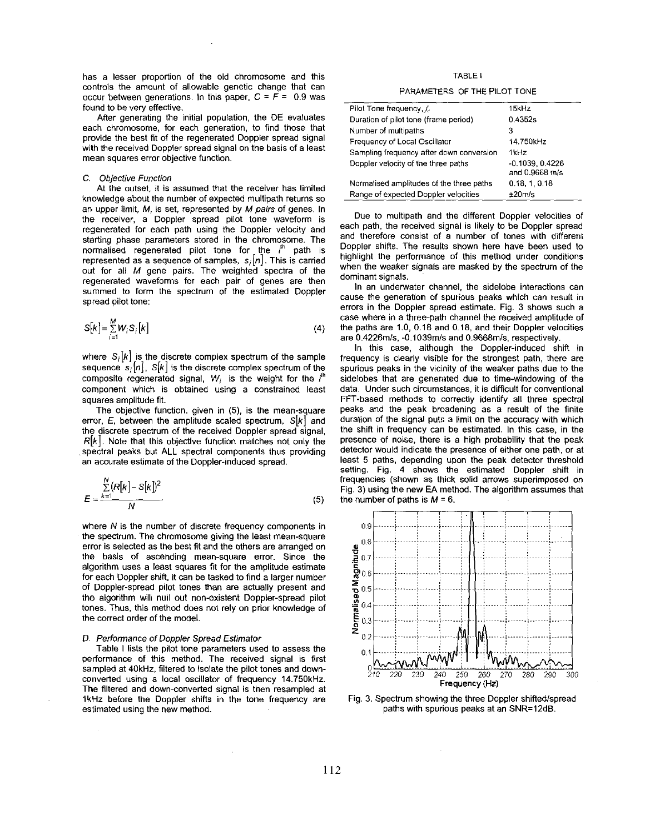has a lesser proportion of the old chromosome and this controls the amount of allowable genetic change that can occur between generations. In this paper,  $C = F = 0.9$  was found to be very effective.

After generating the initial population, the DE evaluates each chromosome, for each generation, to find those that provide the best fit of the regenerated Doppler spread signal with the received Doppler spread signal on the basis of a least mean squares error objective function.

#### C. Objective Function

At the outset, it is assumed that the receiver has limited knowledge about the number of expected multipath returns *so*  an upper limit, *M,* is set, represented by M *pairs* of genes. In the receiver, a Doppler spread pilot tone waveform is regenerated for each path using the Doppler velocity and starting phase parameters stored in the chromosome. The normalised regenerated pilot tone for the **,'h** path is represented as a sequence of samples, *si[n].* This is carried out for all M gene pairs. The weighted spectra of the regenerated waveforms for each pair of genes are then summed to form the spectrum of the estimated Doppler spread pilot tone:

$$
S[k] = \sum_{i=1}^{M} W_i S_i[k]
$$
 (4)

where  $S_i[k]$  is the discrete complex spectrum of the sample sequence  $s_i[n]$ ,  $S[k]$  is the discrete complex spectrum of the composite regenerated signal, *W,* is the weight for the **/h**  component which is obtained using a constrained least squares amplitude fit.

The objective function, given in (5), is the mean-square error, E, between the amplitude scaled spectrum, *S[k]* and the discrete spectrum of the received Doppler spread signal, *R[k].* Note that this objective function matches not only the spectral peaks but ALL spectral components thus providing an accurate estimate of the Doppler-induced spread.

$$
E = \frac{\sum_{k=1}^{N} (R[k] - S[k])^2}{N}
$$
 (5)

where N is the number of discrete frequency components in the spectrum. The chromosome giving the least mean-square error is selected as the best fit and the others are arranged on the basis of ascending mean-square error. Since the algorithm uses a least squares fit for the amplitude estimate for each Doppler shift, it can be tasked to find a larger number of Doppler-spread pilot tones than are actually present and the algorithm will null out non-existent Doppler-spread pilot tones. Thus, this method does not rely on prior knowledge of the correct order of the model.

#### D. Performance of Doppler Spread Estimator

Table I lists the pilot tone parameters used to assess the performance of this method. The received signal is first sampled at 40kHz. filtered to isolate the pilot tones and downconverted using a local oscillator of frequency 14.750kHz. The filtered and down-converted signal is then resampled at lkHz before the Doppler shifts in the tone frequency are estimated using the new method.

TABLE I

### PARAMETERS OF THE PILOT TONE

| Pilot Tone frequency, f.                 | 15kHz                              |
|------------------------------------------|------------------------------------|
| Duration of pilot tone (frame period)    | 0.4352s                            |
| Number of multipaths                     | з                                  |
| Frequency of Local Oscillator            | 14.750kHz                          |
| Sampling frequency after down conversion | 1kHz                               |
| Doppler velocity of the three paths      | $-0.1039.0.4226$<br>and 0.9668 m/s |
| Normalised amplitudes of the three paths | 0.18, 1, 0.18                      |
| Range of expected Doppler velocities     | $±20$ m/s                          |

Due to multipath and the different Doppler velocities of each path, the received signal is likely to be Doppler spread and therefore consist of a number of tones with different Doppler shifts. The results shown here have been used to highlight the performance of this method under conditions when the weaker signals are masked by the spectrum of the dominant signals.

In an underwater channel, the sidelobe interactions can cause the generation of spurious peaks which can result in errors in the Doppler spread estimate. Fig. 3 shows such a case where in a three-path channel the received amplitude of the paths are 1.0, 0.18 and 0.18, and their Doppler velocities are 0.4226m/s, -0.1039m/s and 0.9668m/s, respectively.

In this case, although the Doppler-induced shifl in frequency is clearly visible for the strongest path, there are spurious peaks in the vicinity of the weaker paths due to the sidelobes that are generated due to time-windowing of the data. Under such circumstances, it is difficult for conventional FFT-based methods to correctly identify all three spectral peaks and the peak broadening as a result of the finite duration of the signal puts a limit on the accuracy with which the shift in frequency can be estimated. In this case, in the presence of noise, there is a high probability that the peak detector would indicate the presence of either one path, or at least 5 paths, depending upon the peak detector threshold setting. Fig. 4 shows the estimated Doppler shift in frequencies (shown as thick solid arrows superimposed on Fig. 3) using the new EA method. The algorithm assumes that the number of paths is  $M = 6$ .



Fig. 3. Spectrum showing the three Doppler shifted/spread paths with spurious peaks at an SNR=12dB.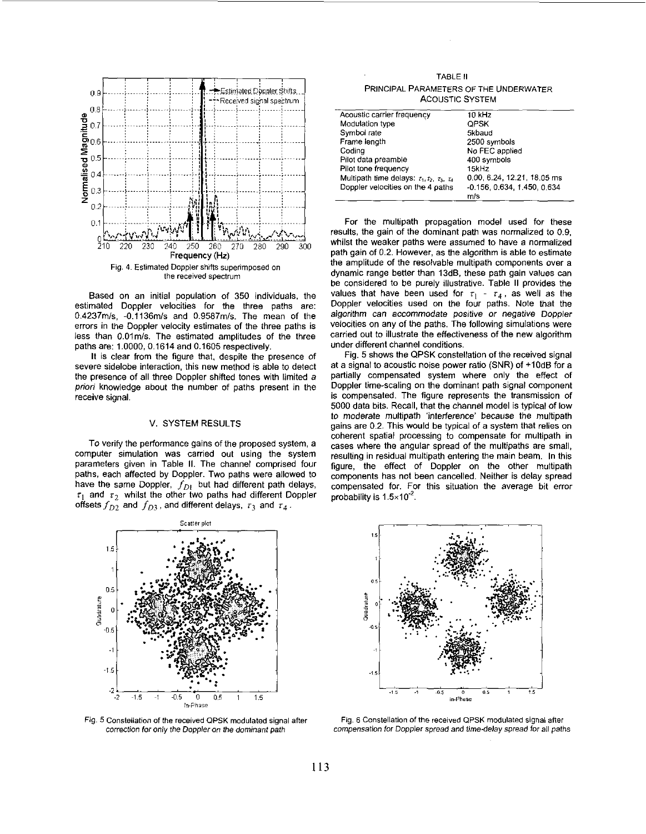

Based on an initial population of 350 individuals, the estimated Doppler velocities for the three paths are: 0.4237m/s, -0.1136m/s and 0.9587m/s. The mean of the errors in the Doppler velocity estimates of the three paths is less than 0.01m/s. The estimated amplitudes of the three paths are: 1.0000, 0.1614 and 0.1605 respectively.

It is clear from the figure that, despite the presence of severe sidelobe interaction, this new method is able to detect the presence of all three Doppler shifted tones with limited a priori knowledge about the number of paths present in the receive signal.

#### V. SYSTEM RESULTS

To verify the performance gains of the proposed system, a computer simulation was carried out using the system parameters given in Table II. The channel comprised four paths, each affected by Doppler. Two paths were allowed to have the same Doppler,  $f_{D1}$  but had different path delays,  $\tau_1$  and  $\tau_2$  whilst the other two paths had different Doppler offsets  $f_{D2}$  and  $f_{D3}$ , and different delays,  $\tau_3$  and  $\tau_4$ .



Fig. 5 Constellation of the received QPSK modulated signal after correction for only the Doppler on the dominant path

TABLE II PRINCIPAL PARAMETERS OF THE UNDERWATER **ACOUSTIC SYSTEM** 

| Acoustic carrier frequency                              | 10 kHz                      |
|---------------------------------------------------------|-----------------------------|
| Modulation type                                         | <b>QPSK</b>                 |
| Symbol rate                                             | 5kbaud                      |
| Frame length                                            | 2500 symbols                |
| Coding                                                  | No FEC applied              |
| Pilot data preamble                                     | 400 symbols                 |
| Pilot tone frequency                                    | 15kHz                       |
| Multipath time delays: $\tau_1, \tau_2, \tau_3, \tau_4$ | 0.00, 6.24, 12.21, 18.05 ms |
| Doppler velocities on the 4 paths                       | -0.156, 0.634, 1.450, 0.634 |
|                                                         | m/s                         |

For the multipath propagation model used for these results, the gain of the dominant path was normalized to 0.9, whilst the weaker paths were assumed to have a normalized path gain of 0.2. However, as the algorithm is able to estimate the amplitude of the resolvable multipath components over a dynamic range better than 13dB, these path gain values can be considered to be purely illustrative. Table II provides the values that have been used for  $\tau_1$  -  $\tau_4$ , as well as the Doppler velocities used on the four paths. Note that the algorithm can accommodate positive or negative Doppler velocities on any of the paths. The following simulations were carried out to illustrate the effectiveness of the new algorithm under different channel conditions.

Fig. 5 shows the QPSK constellation of the received signal at a signal to acoustic noise power ratio (SNR) of +10dB for a partially compensated system where only the effect of Doppler time-scaling on the dominant path signal component is compensated. The figure represents the transmission of 5000 data bits. Recall, that the channel model is typical of low to moderate multipath 'interference' because the multipath gains are 0.2. This would be typical of a system that relies on coherent spatial processing to compensate for multipath in cases where the angular spread of the multipaths are small, resulting in residual multipath entering the main beam. In this figure, the effect of Doppler on the other multipath components has not been cancelled. Neither is delay spread compensated for. For this situation the average bit error probability is  $1.5 \times 10^{-2}$ .



Fig. 6 Constellation of the received QPSK modulated signal after compensation for Doppler spread and time-delay spread for all paths